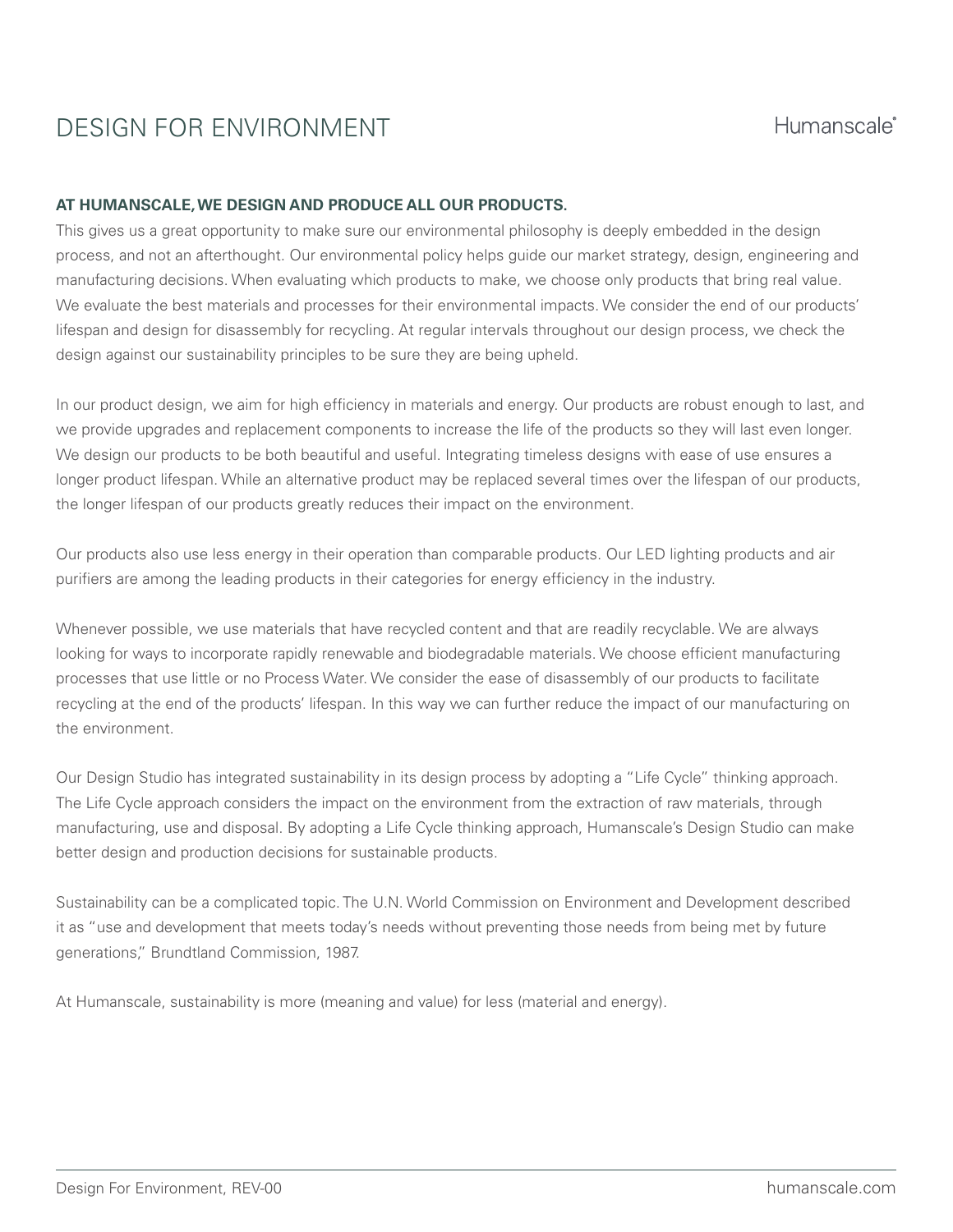# DESIGN FOR ENVIRONMENT

# **AT HUMANSCALE, WE DESIGN AND PRODUCE ALL OUR PRODUCTS.**

This gives us a great opportunity to make sure our environmental philosophy is deeply embedded in the design process, and not an afterthought. Our environmental policy helps guide our market strategy, design, engineering and manufacturing decisions. When evaluating which products to make, we choose only products that bring real value. We evaluate the best materials and processes for their environmental impacts. We consider the end of our products' lifespan and design for disassembly for recycling. At regular intervals throughout our design process, we check the design against our sustainability principles to be sure they are being upheld.

In our product design, we aim for high efficiency in materials and energy. Our products are robust enough to last, and we provide upgrades and replacement components to increase the life of the products so they will last even longer. We design our products to be both beautiful and useful. Integrating timeless designs with ease of use ensures a longer product lifespan. While an alternative product may be replaced several times over the lifespan of our products, the longer lifespan of our products greatly reduces their impact on the environment.

Our products also use less energy in their operation than comparable products. Our LED lighting products and air purifiers are among the leading products in their categories for energy efficiency in the industry.

Whenever possible, we use materials that have recycled content and that are readily recyclable. We are always looking for ways to incorporate rapidly renewable and biodegradable materials. We choose efficient manufacturing processes that use little or no Process Water. We consider the ease of disassembly of our products to facilitate recycling at the end of the products' lifespan. In this way we can further reduce the impact of our manufacturing on the environment.

Our Design Studio has integrated sustainability in its design process by adopting a "Life Cycle" thinking approach. The Life Cycle approach considers the impact on the environment from the extraction of raw materials, through manufacturing, use and disposal. By adopting a Life Cycle thinking approach, Humanscale's Design Studio can make better design and production decisions for sustainable products.

Sustainability can be a complicated topic. The U.N. World Commission on Environment and Development described it as "use and development that meets today's needs without preventing those needs from being met by future generations," Brundtland Commission, 1987.

At Humanscale, sustainability is more (meaning and value) for less (material and energy).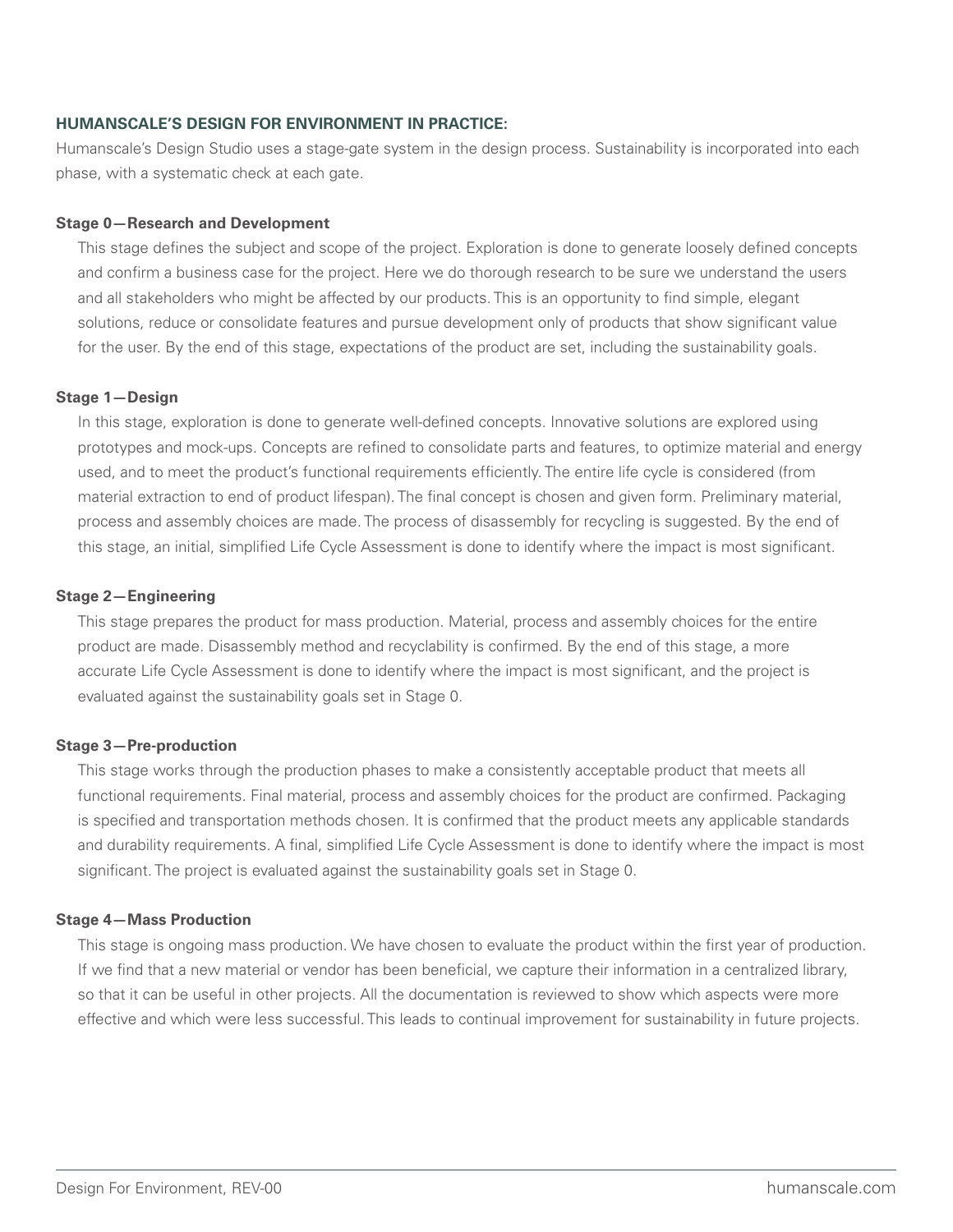### **HUMANSCALE'S DESIGN FOR ENVIRONMENT IN PRACTICE:**

Humanscale's Design Studio uses a stage-gate system in the design process. Sustainability is incorporated into each phase, with a systematic check at each gate.

#### **Stage 0—Research and Development**

 This stage defines the subject and scope of the project. Exploration is done to generate loosely defined concepts and confirm a business case for the project. Here we do thorough research to be sure we understand the users and all stakeholders who might be affected by our products. This is an opportunity to find simple, elegant solutions, reduce or consolidate features and pursue development only of products that show significant value for the user. By the end of this stage, expectations of the product are set, including the sustainability goals.

#### **Stage 1—Design**

 In this stage, exploration is done to generate well-defined concepts. Innovative solutions are explored using prototypes and mock-ups. Concepts are refined to consolidate parts and features, to optimize material and energy used, and to meet the product's functional requirements efficiently. The entire life cycle is considered (from material extraction to end of product lifespan). The final concept is chosen and given form. Preliminary material, process and assembly choices are made. The process of disassembly for recycling is suggested. By the end of this stage, an initial, simplified Life Cycle Assessment is done to identify where the impact is most significant.

#### **Stage 2—Engineering**

 This stage prepares the product for mass production. Material, process and assembly choices for the entire product are made. Disassembly method and recyclability is confirmed. By the end of this stage, a more accurate Life Cycle Assessment is done to identify where the impact is most significant, and the project is evaluated against the sustainability goals set in Stage 0.

#### **Stage 3—Pre-production**

 This stage works through the production phases to make a consistently acceptable product that meets all functional requirements. Final material, process and assembly choices for the product are confirmed. Packaging is specified and transportation methods chosen. It is confirmed that the product meets any applicable standards and durability requirements. A final, simplified Life Cycle Assessment is done to identify where the impact is most significant. The project is evaluated against the sustainability goals set in Stage 0.

## **Stage 4—Mass Production**

 This stage is ongoing mass production. We have chosen to evaluate the product within the first year of production. If we find that a new material or vendor has been beneficial, we capture their information in a centralized library, so that it can be useful in other projects. All the documentation is reviewed to show which aspects were more effective and which were less successful. This leads to continual improvement for sustainability in future projects.